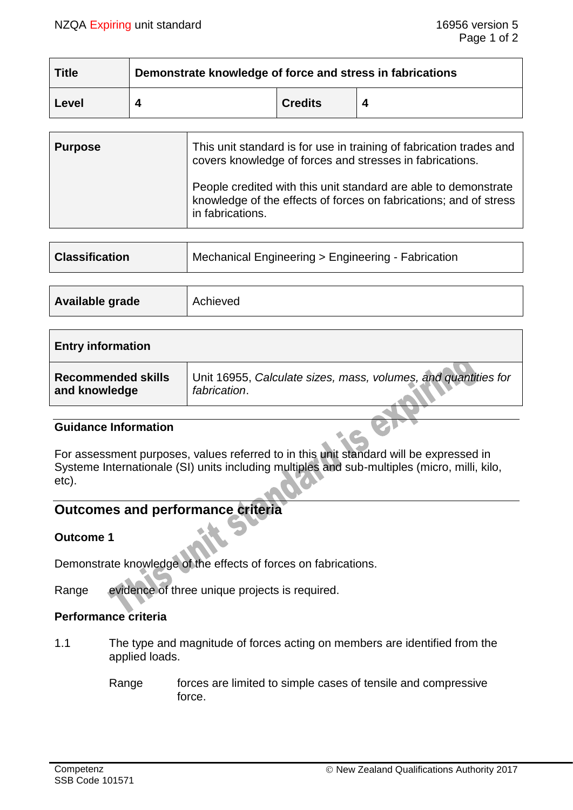| <b>Title</b> | Demonstrate knowledge of force and stress in fabrications |                |  |  |
|--------------|-----------------------------------------------------------|----------------|--|--|
| Level        |                                                           | <b>Credits</b> |  |  |

| <b>Purpose</b> | This unit standard is for use in training of fabrication trades and<br>covers knowledge of forces and stresses in fabrications.                          |
|----------------|----------------------------------------------------------------------------------------------------------------------------------------------------------|
|                | People credited with this unit standard are able to demonstrate<br>knowledge of the effects of forces on fabrications; and of stress<br>in fabrications. |

| <b>Classification</b> | Mechanical Engineering > Engineering - Fabrication |  |
|-----------------------|----------------------------------------------------|--|
|                       |                                                    |  |
| Available grade       | Achieved                                           |  |

| <b>Entry information</b>  |                                                                |
|---------------------------|----------------------------------------------------------------|
| <b>Recommended skills</b> | Unit 16955, Calculate sizes, mass, volumes, and quantities for |
| and knowledge             | fabrication.                                                   |

#### **Guidance Information**

For assessment purposes, values referred to in this unit standard will be expressed in Systeme Internationale (SI) units including multiples and sub-multiples (micro, milli, kilo, etc).

# **Outcomes and performance criteria**

## **Outcome 1**

Demonstrate knowledge of the effects of forces on fabrications.

Range evidence of three unique projects is required.

## **Performance criteria**

- 1.1 The type and magnitude of forces acting on members are identified from the applied loads.
	- Range forces are limited to simple cases of tensile and compressive force.